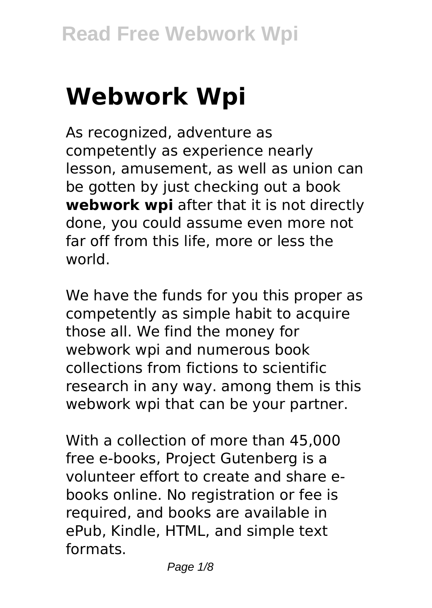# **Webwork Wpi**

As recognized, adventure as competently as experience nearly lesson, amusement, as well as union can be gotten by just checking out a book **webwork wpi** after that it is not directly done, you could assume even more not far off from this life, more or less the world.

We have the funds for you this proper as competently as simple habit to acquire those all. We find the money for webwork wpi and numerous book collections from fictions to scientific research in any way. among them is this webwork wpi that can be your partner.

With a collection of more than 45,000 free e-books, Project Gutenberg is a volunteer effort to create and share ebooks online. No registration or fee is required, and books are available in ePub, Kindle, HTML, and simple text formats.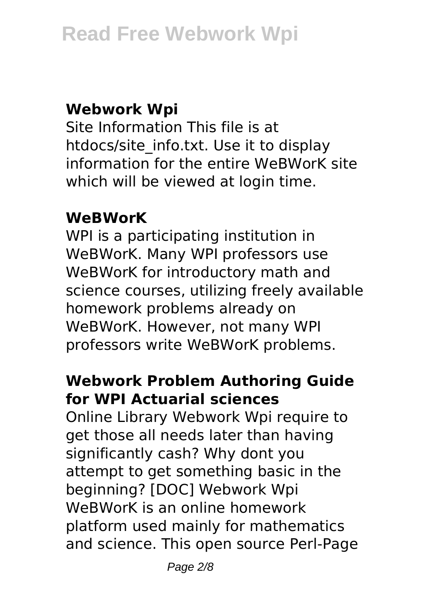### **Webwork Wpi**

Site Information This file is at htdocs/site\_info.txt. Use it to display information for the entire WeBWorK site which will be viewed at login time.

#### **WeBWorK**

WPI is a participating institution in WeBWorK. Many WPI professors use WeBWorK for introductory math and science courses, utilizing freely available homework problems already on WeBWorK. However, not many WPI professors write WeBWorK problems.

## **Webwork Problem Authoring Guide for WPI Actuarial sciences**

Online Library Webwork Wpi require to get those all needs later than having significantly cash? Why dont you attempt to get something basic in the beginning? [DOC] Webwork Wpi WeBWorK is an online homework platform used mainly for mathematics and science. This open source Perl-Page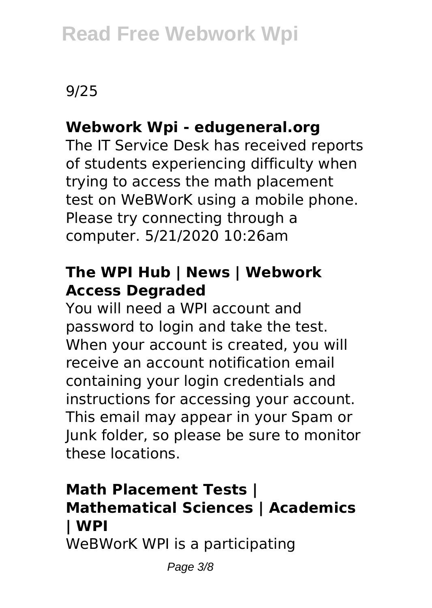## 9/25

## **Webwork Wpi - edugeneral.org**

The IT Service Desk has received reports of students experiencing difficulty when trying to access the math placement test on WeBWorK using a mobile phone. Please try connecting through a computer. 5/21/2020 10:26am

## **The WPI Hub | News | Webwork Access Degraded**

You will need a WPI account and password to login and take the test. When your account is created, you will receive an account notification email containing your login credentials and instructions for accessing your account. This email may appear in your Spam or Junk folder, so please be sure to monitor these locations.

## **Math Placement Tests | Mathematical Sciences | Academics | WPI**

WeBWorK WPI is a participating

Page 3/8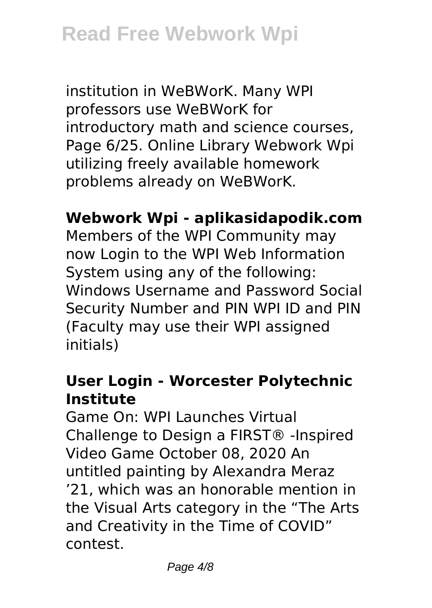institution in WeBWorK. Many WPI professors use WeBWorK for introductory math and science courses, Page 6/25. Online Library Webwork Wpi utilizing freely available homework problems already on WeBWorK.

#### **Webwork Wpi - aplikasidapodik.com**

Members of the WPI Community may now Login to the WPI Web Information System using any of the following: Windows Username and Password Social Security Number and PIN WPI ID and PIN (Faculty may use their WPI assigned initials)

#### **User Login - Worcester Polytechnic Institute**

Game On: WPI Launches Virtual Challenge to Design a FIRST® -Inspired Video Game October 08, 2020 An untitled painting by Alexandra Meraz '21, which was an honorable mention in the Visual Arts category in the "The Arts and Creativity in the Time of COVID" contest.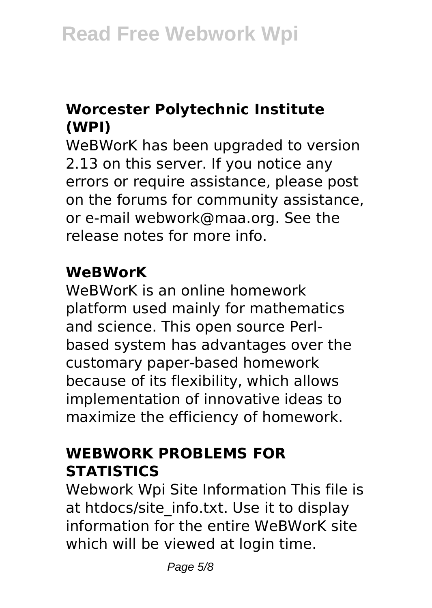## **Worcester Polytechnic Institute (WPI)**

WeBWorK has been upgraded to version 2.13 on this server. If you notice any errors or require assistance, please post on the forums for community assistance, or e-mail webwork@maa.org. See the release notes for more info.

### **WeBWorK**

WeBWorK is an online homework platform used mainly for mathematics and science. This open source Perlbased system has advantages over the customary paper-based homework because of its flexibility, which allows implementation of innovative ideas to maximize the efficiency of homework.

## **WEBWORK PROBLEMS FOR STATISTICS**

Webwork Wpi Site Information This file is at htdocs/site\_info.txt. Use it to display information for the entire WeBWorK site which will be viewed at login time.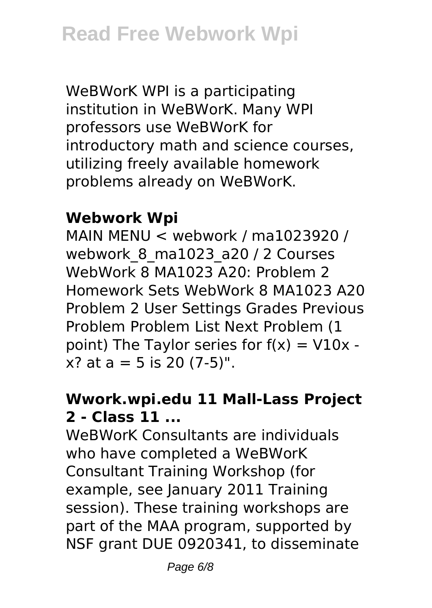WeBWorK WPI is a participating institution in WeBWorK. Many WPI professors use WeBWorK for introductory math and science courses, utilizing freely available homework problems already on WeBWorK.

## **Webwork Wpi**

MAIN MENU < webwork / ma1023920 / webwork 8 ma1023 a20 / 2 Courses WebWork 8 MA1023 A20: Problem 2 Homework Sets WebWork 8 MA1023 A20 Problem 2 User Settings Grades Previous Problem Problem List Next Problem (1 point) The Taylor series for  $f(x) = V10x$  $x$ ? at a = 5 is 20 (7-5)".

## **Wwork.wpi.edu 11 Mall-Lass Project 2 - Class 11 ...**

WeBWorK Consultants are individuals who have completed a WeBWorK Consultant Training Workshop (for example, see January 2011 Training session). These training workshops are part of the MAA program, supported by NSF grant DUE 0920341, to disseminate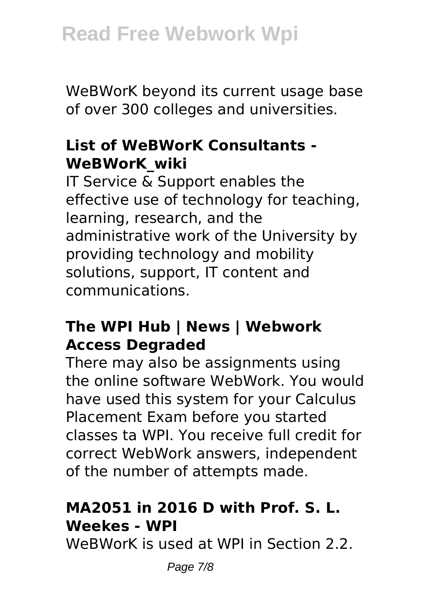WeBWorK beyond its current usage base of over 300 colleges and universities.

#### **List of WeBWorK Consultants - WeBWorK\_wiki**

IT Service & Support enables the effective use of technology for teaching, learning, research, and the administrative work of the University by providing technology and mobility solutions, support, IT content and communications.

#### **The WPI Hub | News | Webwork Access Degraded**

There may also be assignments using the online software WebWork. You would have used this system for your Calculus Placement Exam before you started classes ta WPI. You receive full credit for correct WebWork answers, independent of the number of attempts made.

### **MA2051 in 2016 D with Prof. S. L. Weekes - WPI**

WeBWorK is used at WPI in Section 2.2.